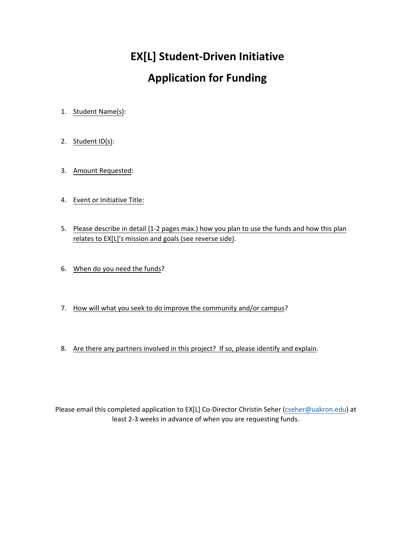## **EX[L] Student-Driven Initiative**

## **Application for Funding**

- 1. Student Name(s):
- 2. Student ID(s):
- 3. Amount Requested:
- 4. Event or Initiative Title:
- 5. Please describe in detail (1-2 pages max.) how you plan to use the funds and how this plan relates to EX[L]'s mission and goals (see reverse side).
- 6. When do you need the funds?
- 7. How will what you seek to do improve the community and/or campus?
- 8. Are there any partners involved in this project? If so, please identify and explain.

Please email this completed application to EX[L] Co-Director Christin Seher (cseher[@uakron.edu\)](mailto:behrman@uakron.edu) at [least 2-3 week](mailto:adv5@uakron.edu)s in advance of when you are requesting funds.